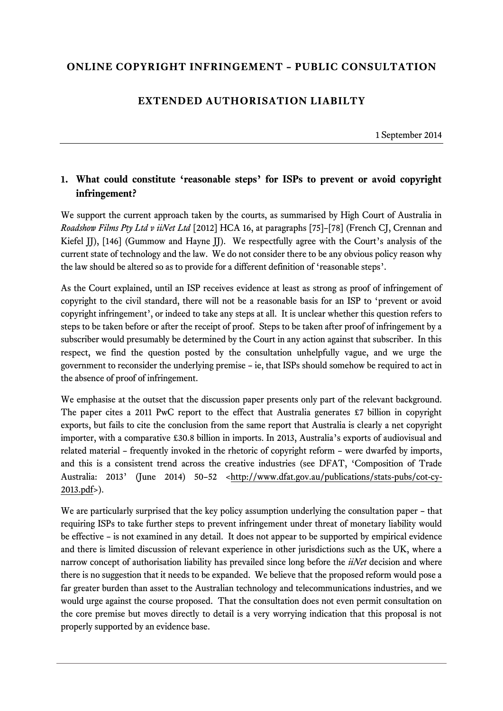## **ONLINE COPYRIGHT INFRINGEMENT – PUBLIC CONSULTATION**

## **EXTENDED AUTHORISATION LIABILTY**

1 September 2014

## **1. What could constitute 'reasonable steps' for ISPs to prevent or avoid copyright infringement?**

We support the current approach taken by the courts, as summarised by High Court of Australia in *Roadshow Films Pty Ltd v iiNet Ltd* [2012] HCA 16, at paragraphs [75]–[78] (French CJ, Crennan and Kiefel JJ), [146] (Gummow and Hayne JJ). We respectfully agree with the Court's analysis of the current state of technology and the law. We do not consider there to be any obvious policy reason why the law should be altered so as to provide for a different definition of 'reasonable steps'.

As the Court explained, until an ISP receives evidence at least as strong as proof of infringement of copyright to the civil standard, there will not be a reasonable basis for an ISP to 'prevent or avoid copyright infringement', or indeed to take any steps at all. It is unclear whether this question refers to steps to be taken before or after the receipt of proof. Steps to be taken after proof of infringement by a subscriber would presumably be determined by the Court in any action against that subscriber. In this respect, we find the question posted by the consultation unhelpfully vague, and we urge the government to reconsider the underlying premise – ie, that ISPs should somehow be required to act in the absence of proof of infringement.

We emphasise at the outset that the discussion paper presents only part of the relevant background. The paper cites a 2011 PwC report to the effect that Australia generates £7 billion in copyright exports, but fails to cite the conclusion from the same report that Australia is clearly a net copyright importer, with a comparative £30.8 billion in imports. In 2013, Australia's exports of audiovisual and related material – frequently invoked in the rhetoric of copyright reform – were dwarfed by imports, and this is a consistent trend across the creative industries (see DFAT, 'Composition of Trade Australia: 2013' (June 2014) 50–52 [<http://www.dfat.gov.au/publications/stats-pubs/cot-cy-](http://www.dfat.gov.au/publications/stats-pubs/cot-cy-2013.pdf)[2013.pdf>](http://www.dfat.gov.au/publications/stats-pubs/cot-cy-2013.pdf)).

We are particularly surprised that the key policy assumption underlying the consultation paper – that requiring ISPs to take further steps to prevent infringement under threat of monetary liability would be effective – is not examined in any detail. It does not appear to be supported by empirical evidence and there is limited discussion of relevant experience in other jurisdictions such as the UK, where a narrow concept of authorisation liability has prevailed since long before the *iiNet* decision and where there is no suggestion that it needs to be expanded. We believe that the proposed reform would pose a far greater burden than asset to the Australian technology and telecommunications industries, and we would urge against the course proposed. That the consultation does not even permit consultation on the core premise but moves directly to detail is a very worrying indication that this proposal is not properly supported by an evidence base.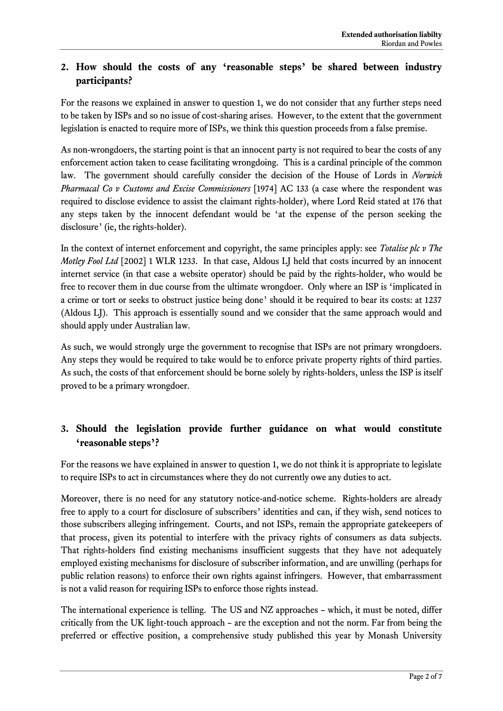## **2. How should the costs of any 'reasonable steps' be shared between industry participants?**

For the reasons we explained in answer to question 1, we do not consider that any further steps need to be taken by ISPs and so no issue of cost-sharing arises. However, to the extent that the government legislation is enacted to require more of ISPs, we think this question proceeds from a false premise.

As non-wrongdoers, the starting point is that an innocent party is not required to bear the costs of any enforcement action taken to cease facilitating wrongdoing. This is a cardinal principle of the common law. The government should carefully consider the decision of the House of Lords in *Norwich Pharmacal Co v Customs and Excise Commissioners* [1974] AC 133 (a case where the respondent was required to disclose evidence to assist the claimant rights-holder), where Lord Reid stated at 176 that any steps taken by the innocent defendant would be 'at the expense of the person seeking the disclosure' (ie, the rights-holder).

In the context of internet enforcement and copyright, the same principles apply: see *Totalise plc v The Motley Fool Ltd* [2002] 1 WLR 1233. In that case, Aldous LJ held that costs incurred by an innocent internet service (in that case a website operator) should be paid by the rights-holder, who would be free to recover them in due course from the ultimate wrongdoer. Only where an ISP is 'implicated in a crime or tort or seeks to obstruct justice being done' should it be required to bear its costs: at 1237 (Aldous LJ). This approach is essentially sound and we consider that the same approach would and should apply under Australian law.

As such, we would strongly urge the government to recognise that ISPs are not primary wrongdoers. Any steps they would be required to take would be to enforce private property rights of third parties. As such, the costs of that enforcement should be borne solely by rights-holders, unless the ISP is itself proved to be a primary wrongdoer.

# **3. Should the legislation provide further guidance on what would constitute 'reasonable steps'?**

For the reasons we have explained in answer to question 1, we do not think it is appropriate to legislate to require ISPs to act in circumstances where they do not currently owe any duties to act.

Moreover, there is no need for any statutory notice-and-notice scheme. Rights-holders are already free to apply to a court for disclosure of subscribers' identities and can, if they wish, send notices to those subscribers alleging infringement. Courts, and not ISPs, remain the appropriate gatekeepers of that process, given its potential to interfere with the privacy rights of consumers as data subjects. That rights-holders find existing mechanisms insufficient suggests that they have not adequately employed existing mechanisms for disclosure of subscriber information, and are unwilling (perhaps for public relation reasons) to enforce their own rights against infringers. However, that embarrassment is not a valid reason for requiring ISPs to enforce those rights instead.

The international experience is telling. The US and NZ approaches – which, it must be noted, differ critically from the UK light-touch approach – are the exception and not the norm. Far from being the preferred or effective position, a comprehensive study published this year by Monash University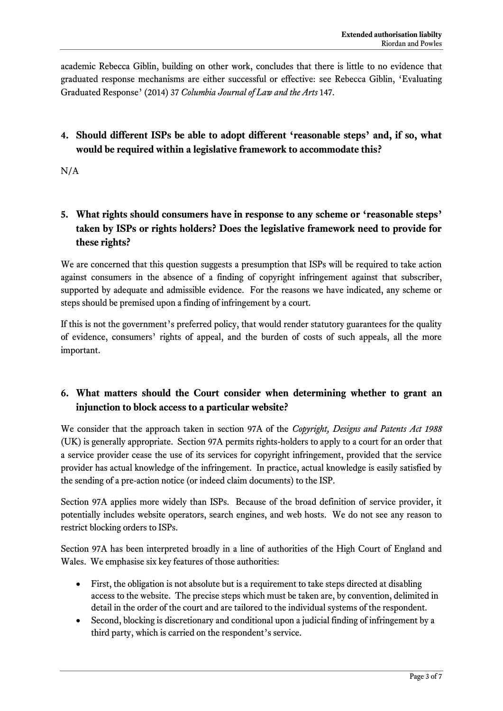academic Rebecca Giblin, building on other work, concludes that there is little to no evidence that graduated response mechanisms are either successful or effective: see Rebecca Giblin, 'Evaluating Graduated Response' (2014) 37 *Columbia Journal of Law and the Arts* 147.

## **4. Should different ISPs be able to adopt different 'reasonable steps' and, if so, what would be required within a legislative framework to accommodate this?**

N/A

## **5. What rights should consumers have in response to any scheme or 'reasonable steps' taken by ISPs or rights holders? Does the legislative framework need to provide for these rights?**

We are concerned that this question suggests a presumption that ISPs will be required to take action against consumers in the absence of a finding of copyright infringement against that subscriber, supported by adequate and admissible evidence. For the reasons we have indicated, any scheme or steps should be premised upon a finding of infringement by a court.

If this is not the government's preferred policy, that would render statutory guarantees for the quality of evidence, consumers' rights of appeal, and the burden of costs of such appeals, all the more important.

# **6. What matters should the Court consider when determining whether to grant an injunction to block access to a particular website?**

We consider that the approach taken in section 97A of the *Copyright, Designs and Patents Act 1988* (UK) is generally appropriate. Section 97A permits rights-holders to apply to a court for an order that a service provider cease the use of its services for copyright infringement, provided that the service provider has actual knowledge of the infringement. In practice, actual knowledge is easily satisfied by the sending of a pre-action notice (or indeed claim documents) to the ISP.

Section 97A applies more widely than ISPs. Because of the broad definition of service provider, it potentially includes website operators, search engines, and web hosts. We do not see any reason to restrict blocking orders to ISPs.

Section 97A has been interpreted broadly in a line of authorities of the High Court of England and Wales. We emphasise six key features of those authorities:

- First, the obligation is not absolute but is a requirement to take steps directed at disabling access to the website. The precise steps which must be taken are, by convention, delimited in detail in the order of the court and are tailored to the individual systems of the respondent.
- Second, blocking is discretionary and conditional upon a judicial finding of infringement by a third party, which is carried on the respondent's service.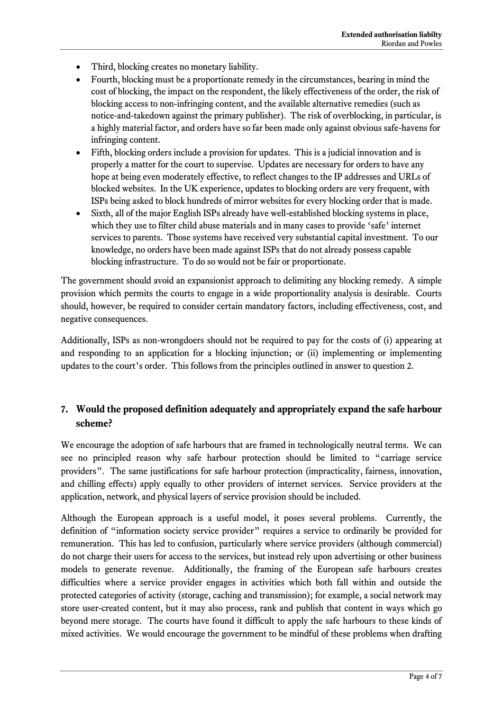- Third, blocking creates no monetary liability.
- Fourth, blocking must be a proportionate remedy in the circumstances, bearing in mind the cost of blocking, the impact on the respondent, the likely effectiveness of the order, the risk of blocking access to non-infringing content, and the available alternative remedies (such as notice-and-takedown against the primary publisher). The risk of overblocking, in particular, is a highly material factor, and orders have so far been made only against obvious safe-havens for infringing content.
- Fifth, blocking orders include a provision for updates. This is a judicial innovation and is properly a matter for the court to supervise. Updates are necessary for orders to have any hope at being even moderately effective, to reflect changes to the IP addresses and URLs of blocked websites. In the UK experience, updates to blocking orders are very frequent, with ISPs being asked to block hundreds of mirror websites for every blocking order that is made.
- Sixth, all of the major English ISPs already have well-established blocking systems in place, which they use to filter child abuse materials and in many cases to provide 'safe' internet services to parents. Those systems have received very substantial capital investment. To our knowledge, no orders have been made against ISPs that do not already possess capable blocking infrastructure. To do so would not be fair or proportionate.

The government should avoid an expansionist approach to delimiting any blocking remedy. A simple provision which permits the courts to engage in a wide proportionality analysis is desirable. Courts should, however, be required to consider certain mandatory factors, including effectiveness, cost, and negative consequences.

Additionally, ISPs as non-wrongdoers should not be required to pay for the costs of (i) appearing at and responding to an application for a blocking injunction; or (ii) implementing or implementing updates to the court's order. This follows from the principles outlined in answer to question 2.

### **7. Would the proposed definition adequately and appropriately expand the safe harbour scheme?**

We encourage the adoption of safe harbours that are framed in technologically neutral terms. We can see no principled reason why safe harbour protection should be limited to "carriage service providers". The same justifications for safe harbour protection (impracticality, fairness, innovation, and chilling effects) apply equally to other providers of internet services. Service providers at the application, network, and physical layers of service provision should be included.

Although the European approach is a useful model, it poses several problems. Currently, the definition of "information society service provider" requires a service to ordinarily be provided for remuneration. This has led to confusion, particularly where service providers (although commercial) do not charge their users for access to the services, but instead rely upon advertising or other business models to generate revenue. Additionally, the framing of the European safe harbours creates difficulties where a service provider engages in activities which both fall within and outside the protected categories of activity (storage, caching and transmission); for example, a social network may store user-created content, but it may also process, rank and publish that content in ways which go beyond mere storage. The courts have found it difficult to apply the safe harbours to these kinds of mixed activities. We would encourage the government to be mindful of these problems when drafting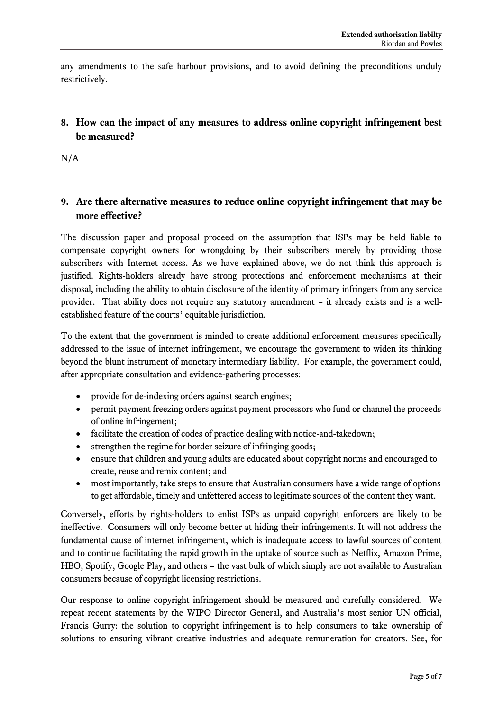any amendments to the safe harbour provisions, and to avoid defining the preconditions unduly restrictively.

### **8. How can the impact of any measures to address online copyright infringement best be measured?**

N/A

### **9. Are there alternative measures to reduce online copyright infringement that may be more effective?**

The discussion paper and proposal proceed on the assumption that ISPs may be held liable to compensate copyright owners for wrongdoing by their subscribers merely by providing those subscribers with Internet access. As we have explained above, we do not think this approach is justified. Rights-holders already have strong protections and enforcement mechanisms at their disposal, including the ability to obtain disclosure of the identity of primary infringers from any service provider. That ability does not require any statutory amendment – it already exists and is a wellestablished feature of the courts' equitable jurisdiction.

To the extent that the government is minded to create additional enforcement measures specifically addressed to the issue of internet infringement, we encourage the government to widen its thinking beyond the blunt instrument of monetary intermediary liability. For example, the government could, after appropriate consultation and evidence-gathering processes:

- provide for de-indexing orders against search engines;
- permit payment freezing orders against payment processors who fund or channel the proceeds of online infringement;
- facilitate the creation of codes of practice dealing with notice-and-takedown;
- strengthen the regime for border seizure of infringing goods;
- ensure that children and young adults are educated about copyright norms and encouraged to create, reuse and remix content; and
- most importantly, take steps to ensure that Australian consumers have a wide range of options to get affordable, timely and unfettered access to legitimate sources of the content they want.

Conversely, efforts by rights-holders to enlist ISPs as unpaid copyright enforcers are likely to be ineffective. Consumers will only become better at hiding their infringements. It will not address the fundamental cause of internet infringement, which is inadequate access to lawful sources of content and to continue facilitating the rapid growth in the uptake of source such as Netflix, Amazon Prime, HBO, Spotify, Google Play, and others – the vast bulk of which simply are not available to Australian consumers because of copyright licensing restrictions.

Our response to online copyright infringement should be measured and carefully considered. We repeat recent statements by the WIPO Director General, and Australia's most senior UN official, Francis Gurry: the solution to copyright infringement is to help consumers to take ownership of solutions to ensuring vibrant creative industries and adequate remuneration for creators. See, for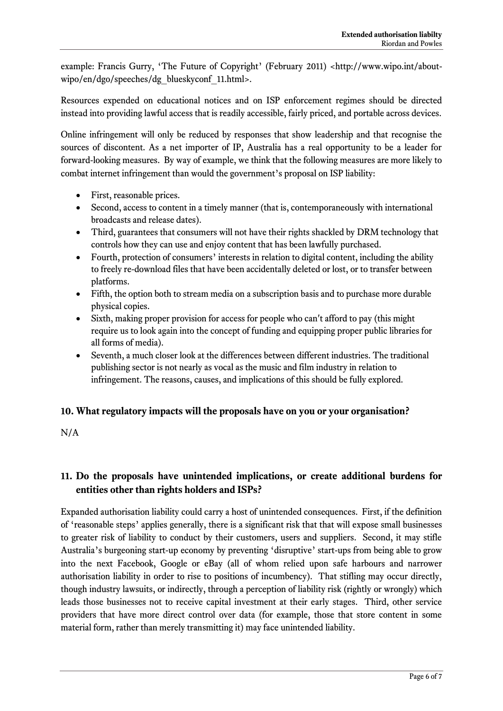example: Francis Gurry, 'The Future of Copyright' (February 2011) <http://www.wipo.int/aboutwipo/en/dgo/speeches/dg\_blueskyconf\_11.html>.

Resources expended on educational notices and on ISP enforcement regimes should be directed instead into providing lawful access that is readily accessible, fairly priced, and portable across devices.

Online infringement will only be reduced by responses that show leadership and that recognise the sources of discontent. As a net importer of IP, Australia has a real opportunity to be a leader for forward-looking measures. By way of example, we think that the following measures are more likely to combat internet infringement than would the government's proposal on ISP liability:

- First, reasonable prices.
- Second, access to content in a timely manner (that is, contemporaneously with international broadcasts and release dates).
- Third, guarantees that consumers will not have their rights shackled by DRM technology that controls how they can use and enjoy content that has been lawfully purchased.
- Fourth, protection of consumers' interests in relation to digital content, including the ability to freely re-download files that have been accidentally deleted or lost, or to transfer between platforms.
- Fifth, the option both to stream media on a subscription basis and to purchase more durable physical copies.
- Sixth, making proper provision for access for people who can't afford to pay (this might require us to look again into the concept of funding and equipping proper public libraries for all forms of media).
- Seventh, a much closer look at the differences between different industries. The traditional publishing sector is not nearly as vocal as the music and film industry in relation to infringement. The reasons, causes, and implications of this should be fully explored.

### **10. What regulatory impacts will the proposals have on you or your organisation?**

 $N/A$ 

## **11. Do the proposals have unintended implications, or create additional burdens for entities other than rights holders and ISPs?**

Expanded authorisation liability could carry a host of unintended consequences. First, if the definition of 'reasonable steps' applies generally, there is a significant risk that that will expose small businesses to greater risk of liability to conduct by their customers, users and suppliers. Second, it may stifle Australia's burgeoning start-up economy by preventing 'disruptive' start-ups from being able to grow into the next Facebook, Google or eBay (all of whom relied upon safe harbours and narrower authorisation liability in order to rise to positions of incumbency). That stifling may occur directly, though industry lawsuits, or indirectly, through a perception of liability risk (rightly or wrongly) which leads those businesses not to receive capital investment at their early stages. Third, other service providers that have more direct control over data (for example, those that store content in some material form, rather than merely transmitting it) may face unintended liability.